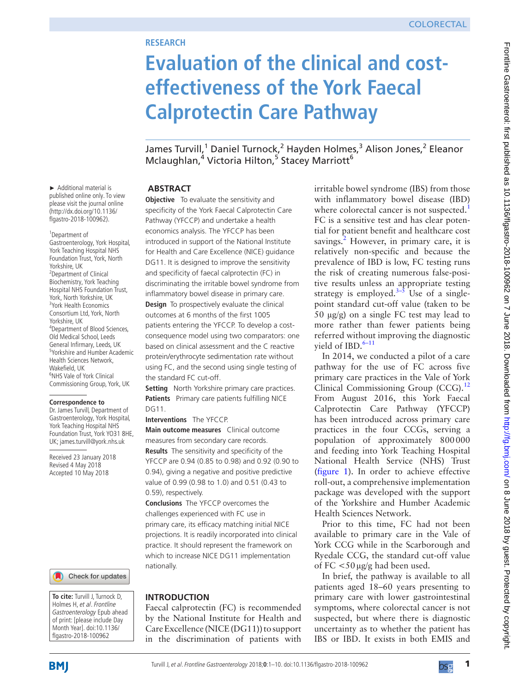# **Research**

# **Evaluation of the clinical and costeffectiveness of the York Faecal Calprotectin Care Pathway**

James Turvill,<sup>1</sup> Daniel Turnock,<sup>2</sup> Hayden Holmes,<sup>3</sup> Alison Jones,<sup>2</sup> Eleanor Mclaughlan,<sup>4</sup> Victoria Hilton,<sup>5</sup> Stacey Marriott<sup>6</sup>

► Additional material is published online only. To view please visit the journal online (http://dx.doi.org/10.1136/ flgastro-2018-100962).

#### 1 Department of

Gastroenterology, York Hospital, York Teaching Hospital NHS Foundation Trust, York, North Yorkshire, UK <sup>2</sup>Department of Clinical Biochemistry, York Teaching Hospital NHS Foundation Trust, York, North Yorkshire, UK <sup>3</sup>York Health Economics Consortium Ltd, York, North Yorkshire, UK 4 Department of Blood Sciences, Old Medical School, Leeds General Infirmary, Leeds, UK 5 Yorkshire and Humber Academic Health Sciences Network, Wakefield, UK 6 NHS Vale of York Clinical Commissioning Group, York, UK

#### **Correspondence to**

Dr. James Turvill, Department of Gastroenterology, York Hospital, York Teaching Hospital NHS Foundation Trust, York YO31 8HE, UK; james.turvill@york.nhs.uk

Received 23 January 2018 Revised 4 May 2018 Accepted 10 May 2018



**To cite:** Turvill J, Turnock D, Holmes H, et al. Frontline Gastroenterology Epub ahead of print: [please include Day Month Year]. doi:10.1136/ flgastro-2018-100962

#### **Abstract**

**Objective** To evaluate the sensitivity and specificity of the York Faecal Calprotectin Care Pathway (YFCCP) and undertake a health economics analysis. The YFCCP has been introduced in support of the National Institute for Health and Care Excellence (NICE) guidance DG11. It is designed to improve the sensitivity and specificity of faecal calprotectin (FC) in discriminating the irritable bowel syndrome from inflammatory bowel disease in primary care. **Design** To prospectively evaluate the clinical outcomes at 6 months of the first 1005 patients entering the YFCCP. To develop a costconsequence model using two comparators: one based on clinical assessment and the C reactive protein/erythrocyte sedimentation rate without using FC, and the second using single testing of the standard FC cut-off.

**Setting** North Yorkshire primary care practices. **Patients** Primary care patients fulfilling NICE DG11.

#### **Interventions** The YFCCP.

**Main outcome measures** Clinical outcome measures from secondary care records. **Results** The sensitivity and specificity of the YFCCP are 0.94 (0.85 to 0.98) and 0.92 (0.90 to 0.94), giving a negative and positive predictive value of 0.99 (0.98 to 1.0) and 0.51 (0.43 to

0.59), respectively.

**Conclusions** The YFCCP overcomes the challenges experienced with FC use in primary care, its efficacy matching initial NICE projections. It is readily incorporated into clinical practice. It should represent the framework on which to increase NICE DG11 implementation nationally.

#### **Introduction**

Faecal calprotectin (FC) is recommended by the National Institute for Health and Care Excellence (NICE (DG11)) to support in the discrimination of patients with irritable bowel syndrome (IBS) from those with inflammatory bowel disease (IBD) where colorectal cancer is not suspected.<sup>1</sup> FC is a sensitive test and has clear potential for patient benefit and healthcare cost savings.<sup>2</sup> However, in primary care, it is relatively non-specific and because the prevalence of IBD is low, FC testing runs the risk of creating numerous false-positive results unless an appropriate testing strategy is employed.<sup>[3–5](#page-8-2)</sup> Use of a singlepoint standard cut-off value (taken to be 50 µg/g) on a single FC test may lead to more rather than fewer patients being referred without improving the diagnostic yield of IBD.<sup>6-11</sup>

In 2014, we conducted a pilot of a care pathway for the use of FC across five primary care practices in the Vale of York Clinical Commissioning Group (CCG).<sup>[12](#page-8-4)</sup> From August 2016, this York Faecal Calprotectin Care Pathway (YFCCP) has been introduced across primary care practices in the four CCGs, serving a population of approximately 800000 and feeding into York Teaching Hospital National Health Service (NHS) Trust [\(figure](#page-1-0) 1). In order to achieve effective roll-out, a comprehensive implementation package was developed with the support of the Yorkshire and Humber Academic Health Sciences Network.

Prior to this time, FC had not been available to primary care in the Vale of York CCG while in the Scarborough and Ryedale CCG, the standard cut-off value of  $FC < 50 \mu g/g$  had been used.

In brief, the pathway is available to all patients aged 18–60 years presenting to primary care with lower gastrointestinal symptoms, where colorectal cancer is not suspected, but where there is diagnostic uncertainty as to whether the patient has IBS or IBD. It exists in both EMIS and



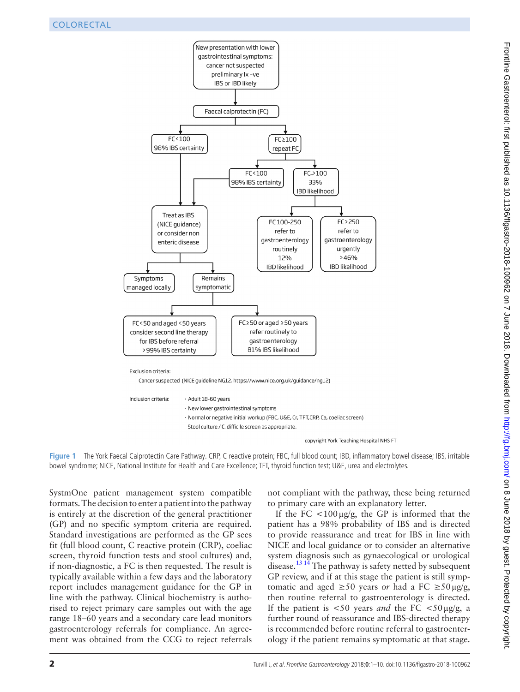

copyright York Teaching Hospital NHS FT

**Figure 1** The York Faecal Calprotectin Care Pathway. CRP, C reactive protein; FBC, full blood count; IBD, inflammatory bowel disease; IBS, irritable bowel syndrome; NICE, National Institute for Health and Care Excellence; TFT, thyroid function test; U&E, urea and electrolytes.

SystmOne patient management system compatible formats. The decision to enter a patient into the pathway is entirely at the discretion of the general practitioner (GP) and no specific symptom criteria are required. Standard investigations are performed as the GP sees fit (full blood count, C reactive protein (CRP), coeliac screen, thyroid function tests and stool cultures) and, if non-diagnostic, a FC is then requested. The result is typically available within a few days and the laboratory report includes management guidance for the GP in line with the pathway. Clinical biochemistry is authorised to reject primary care samples out with the age range 18–60 years and a secondary care lead monitors gastroenterology referrals for compliance. An agreement was obtained from the CCG to reject referrals <span id="page-1-0"></span>not compliant with the pathway, these being returned to primary care with an explanatory letter.

If the FC  $\langle 100 \mu g/g$ , the GP is informed that the patient has a 98% probability of IBS and is directed to provide reassurance and treat for IBS in line with NICE and local guidance or to consider an alternative system diagnosis such as gynaecological or urological disease.<sup>13 14</sup> The pathway is safety netted by subsequent GP review, and if at this stage the patient is still symptomatic and aged  $\geq 50$  years *or* had a FC  $\geq 50 \,\mu\text{g/g}$ , then routine referral to gastroenterology is directed. If the patient is  $\langle 50 \rangle$  years *and* the FC  $\langle 50 \rangle$  ug/g, a further round of reassurance and IBS-directed therapy is recommended before routine referral to gastroenterology if the patient remains symptomatic at that stage.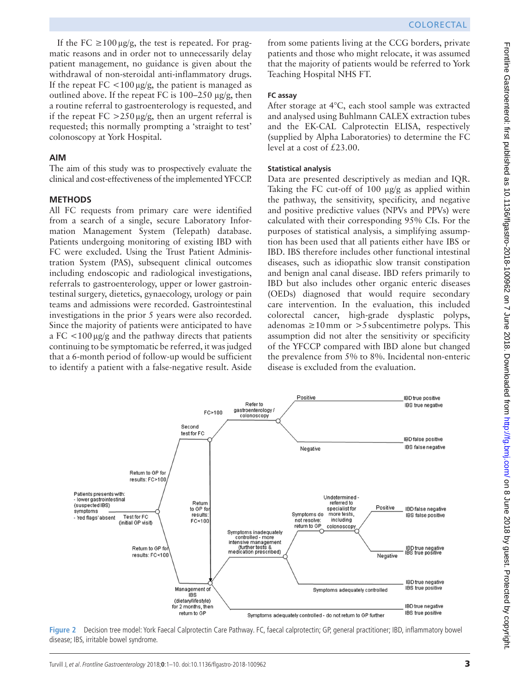If the FC  $\geq 100 \mu g/g$ , the test is repeated. For pragmatic reasons and in order not to unnecessarily delay patient management, no guidance is given about the withdrawal of non-steroidal anti-inflammatory drugs. If the repeat  $FC < 100 \mu g/g$ , the patient is managed as outlined above. If the repeat FC is 100–250 µg/g, then a routine referral to gastroenterology is requested, and if the repeat  $FC > 250 \mu g/g$ , then an urgent referral is requested; this normally prompting a 'straight to test' colonoscopy at York Hospital.

# **Aim**

The aim of this study was to prospectively evaluate the clinical and cost-effectiveness of the implemented YFCCP.

# **Methods**

All FC requests from primary care were identified from a search of a single, secure Laboratory Information Management System (Telepath) database. Patients undergoing monitoring of existing IBD with FC were excluded. Using the Trust Patient Administration System (PAS), subsequent clinical outcomes including endoscopic and radiological investigations, referrals to gastroenterology, upper or lower gastrointestinal surgery, dietetics, gynaecology, urology or pain teams and admissions were recorded. Gastrointestinal investigations in the prior 5 years were also recorded. Since the majority of patients were anticipated to have a FC  $\lt$ 100 µg/g and the pathway directs that patients continuing to be symptomatic be referred, it was judged that a 6-month period of follow-up would be sufficient to identify a patient with a false-negative result. Aside

from some patients living at the CCG borders, private patients and those who might relocate, it was assumed that the majority of patients would be referred to York Teaching Hospital NHS FT.

# **FC assay**

After storage at 4°C, each stool sample was extracted and analysed using Buhlmann CALEX extraction tubes and the EK-CAL Calprotectin ELISA, respectively (supplied by Alpha Laboratories) to determine the FC level at a cost of £23.00.

# **Statistical analysis**

Data are presented descriptively as median and IQR. Taking the FC cut-off of 100 µg/g as applied within the pathway, the sensitivity, specificity, and negative and positive predictive values (NPVs and PPVs) were calculated with their corresponding 95% CIs. For the purposes of statistical analysis, a simplifying assumption has been used that all patients either have IBS or IBD. IBS therefore includes other functional intestinal diseases, such as idiopathic slow transit constipation and benign anal canal disease. IBD refers primarily to IBD but also includes other organic enteric diseases (OEDs) diagnosed that would require secondary care intervention. In the evaluation, this included colorectal cancer, high-grade dysplastic polyps, adenomas  $\geq 10$  mm or  $> 5$  subcentimetre polyps. This assumption did not alter the sensitivity or specificity of the YFCCP compared with IBD alone but changed the prevalence from 5% to 8%. Incidental non-enteric disease is excluded from the evaluation.



<span id="page-2-0"></span>**Figure 2** Decision tree model: York Faecal Calprotectin Care Pathway. FC, faecal calprotectin; GP, general practitioner; IBD, inflammatory bowel disease; IBS, irritable bowel syndrome.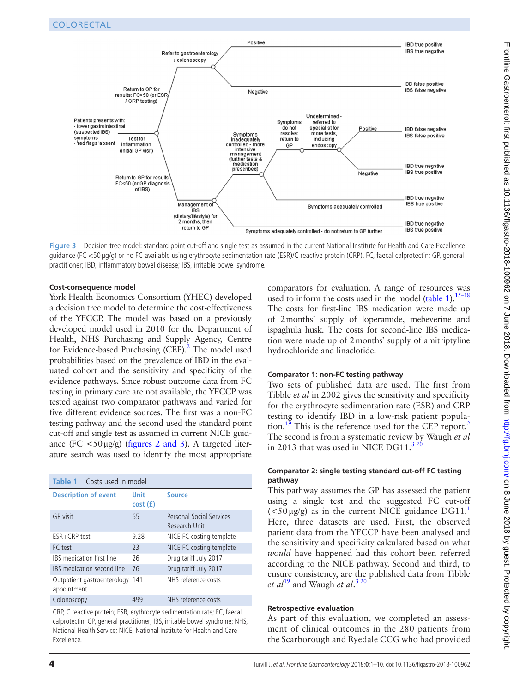

**Figure 3** Decision tree model: standard point cut-off and single test as assumed in the current National Institute for Health and Care Excellence guidance (FC <50 µg/g) or no FC available using erythrocyte sedimentation rate (ESR)/C reactive protein (CRP). FC, faecal calprotectin; GP, general practitioner; IBD, inflammatory bowel disease; IBS, irritable bowel syndrome.

# **Cost-consequence model**

York Health Economics Consortium (YHEC) developed a decision tree model to determine the cost-effectiveness of the YFCCP. The model was based on a previously developed model used in 2010 for the Department of Health, NHS Purchasing and Supply Agency, Centre for Evidence-based Purchasing  $(CEP)$ .<sup>2</sup> The model used probabilities based on the prevalence of IBD in the evaluated cohort and the sensitivity and specificity of the evidence pathways. Since robust outcome data from FC testing in primary care are not available, the YFCCP was tested against two comparator pathways and varied for five different evidence sources. The first was a non-FC testing pathway and the second used the standard point cut-off and single test as assumed in current NICE guidance (FC  $\lt 50 \mu g/g$ ) (figures [2 and 3\)](#page-2-0). A targeted literature search was used to identify the most appropriate

<span id="page-3-0"></span>

| Costs used in model<br>Table 1             |                 |                                                  |  |  |  |
|--------------------------------------------|-----------------|--------------------------------------------------|--|--|--|
| <b>Description of event</b>                | Unit<br>cost(f) | <b>Source</b>                                    |  |  |  |
| <b>GP</b> visit                            | 65              | <b>Personal Social Services</b><br>Research Unit |  |  |  |
| FSR+CRP test                               | 9.28            | NICE FC costing template                         |  |  |  |
| FC test                                    | 73              | NICE FC costing template                         |  |  |  |
| <b>IBS</b> medication first line           | 26              | Drug tariff July 2017                            |  |  |  |
| <b>IBS</b> medication second line          | 76              | Drug tariff July 2017                            |  |  |  |
| Outpatient gastroenterology<br>appointment | 141             | NHS reference costs                              |  |  |  |
| Colonoscopy                                | 499             | NHS reference costs                              |  |  |  |

CRP, C reactive protein; ESR, erythrocyte sedimentation rate; FC, faecal calprotectin; GP, general practitioner; IBS, irritable bowel syndrome; NHS, National Health Service; NICE, National Institute for Health and Care Excellence.

comparators for evaluation. A range of resources was used to inform the costs used in the model ([table](#page-3-0) 1). $15-18$ The costs for first-line IBS medication were made up of 2months' supply of loperamide, mebeverine and ispaghula husk. The costs for second-line IBS medication were made up of 2months' supply of amitriptyline hydrochloride and linaclotide.

# **Comparator 1: non-FC testing pathway**

Two sets of published data are used. The first from Tibble *et al* in 2002 gives the sensitivity and specificity for the erythrocyte sedimentation rate (ESR) and CRP testing to identify IBD in a low-risk patient popula-tion.<sup>[19](#page-8-7)</sup> This is the reference used for the CEP report.<sup>2</sup> The second is from a systematic review by Waugh *et al* in 2013 that was used in NICE DG11. $320$ 

#### **Comparator 2: single testing standard cut-off FC testing pathway**

This pathway assumes the GP has assessed the patient using a single test and the suggested FC cut-off  $(<50 \,\mu$ g/g) as in the current NICE guidance DG11. Here, three datasets are used. First, the observed patient data from the YFCCP have been analysed and the sensitivity and specificity calculated based on what *would* have happened had this cohort been referred according to the NICE pathway. Second and third, to ensure consistency, are the published data from Tibble *et al*[19](#page-8-7) and Waugh *et al*. [3 20](#page-8-2)

# **Retrospective evaluation**

As part of this evaluation, we completed an assessment of clinical outcomes in the 280 patients from the Scarborough and Ryedale CCG who had provided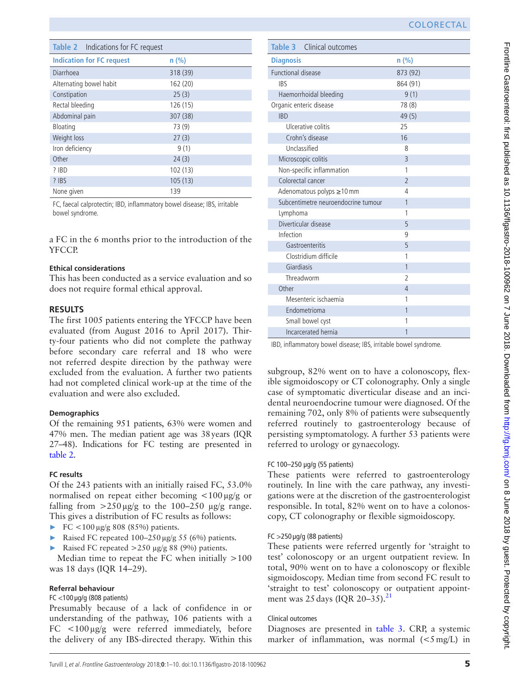<span id="page-4-0"></span>

| <b>Table 2</b> Indications for FC request   |          |  |  |  |  |
|---------------------------------------------|----------|--|--|--|--|
| <b>Indication for FC request</b><br>$n$ (%) |          |  |  |  |  |
| Diarrhoea                                   | 318 (39) |  |  |  |  |
| Alternating bowel habit                     | 162 (20) |  |  |  |  |
| Constipation<br>25(3)                       |          |  |  |  |  |
| Rectal bleeding                             | 126 (15) |  |  |  |  |
| Abdominal pain                              | 307 (38) |  |  |  |  |
| Bloating                                    | 73 (9)   |  |  |  |  |
| Weight loss                                 | 27(3)    |  |  |  |  |
| Iron deficiency                             | 9(1)     |  |  |  |  |
| Other                                       | 24(3)    |  |  |  |  |
| $?$ IBD                                     | 102(13)  |  |  |  |  |
| $?$ IBS                                     | 105(13)  |  |  |  |  |
| None given                                  | 139      |  |  |  |  |

FC, faecal calprotectin; IBD, inflammatory bowel disease; IBS, irritable bowel syndrome.

a FC in the 6 months prior to the introduction of the YFCCP.

# **Ethical considerations**

This has been conducted as a service evaluation and so does not require formal ethical approval.

# **Results**

The first 1005 patients entering the YFCCP have been evaluated (from August 2016 to April 2017). Thirty-four patients who did not complete the pathway before secondary care referral and 18 who were not referred despite direction by the pathway were excluded from the evaluation. A further two patients had not completed clinical work-up at the time of the evaluation and were also excluded.

# **Demographics**

Of the remaining 951 patients, 63% were women and 47% men. The median patient age was 38years (IQR 27–48). Indications for FC testing are presented in [table](#page-4-0) 2.

# **FC results**

Of the 243 patients with an initially raised FC, 53.0% normalised on repeat either becoming <100µg/g or falling from  $>250 \mu g/g$  to the 100–250  $\mu g/g$  range. This gives a distribution of FC results as follows:

- $\blacktriangleright$  FC <100 µg/g 808 (85%) patients.
- ► Raised FC repeated 100–250µg/g 55 (6%) patients.
- Raised FC repeated  $>$  250 µg/g 88 (9%) patients.

Median time to repeat the FC when initially  $>100$ was 18 days (IQR 14–29).

# **Referral behaviour**

# FC <100 µg/g (808 patients)

Presumably because of a lack of confidence in or understanding of the pathway, 106 patients with a FC <100µg/g were referred immediately, before the delivery of any IBS-directed therapy. Within this

|  |  |  | --------- |  |  |
|--|--|--|-----------|--|--|
|  |  |  |           |  |  |
|  |  |  |           |  |  |
|  |  |  |           |  |  |
|  |  |  |           |  |  |

<span id="page-4-1"></span>

| <b>Table 5</b> Cliffical outcomes   |                |  |
|-------------------------------------|----------------|--|
| <b>Diagnosis</b>                    | $n$ (%)        |  |
| <b>Functional disease</b>           | 873 (92)       |  |
| <b>IBS</b>                          | 864 (91)       |  |
| Haemorrhoidal bleeding              | 9(1)           |  |
| Organic enteric disease             | 78 (8)         |  |
| <b>IBD</b>                          | 49(5)          |  |
| Ulcerative colitis                  | 25             |  |
| Crohn's disease                     | 16             |  |
| Unclassified                        | 8              |  |
| Microscopic colitis                 | $\overline{3}$ |  |
| Non-specific inflammation           | 1              |  |
| Colorectal cancer                   | $\overline{2}$ |  |
| Adenomatous polyps $\geq 10$ mm     | 4              |  |
| Subcentimetre neuroendocrine tumour | 1              |  |
| Lymphoma                            | 1              |  |
| Diverticular disease                | 5              |  |
| Infection                           | 9              |  |
| Gastroenteritis                     | 5              |  |
| Clostridium difficile               | 1              |  |
| Giardiasis                          | $\mathbf{1}$   |  |
| Threadworm                          | $\overline{2}$ |  |
| Other                               | $\overline{4}$ |  |
| Mesenteric ischaemia                | 1              |  |
| Endometrioma                        | 1              |  |
| Small bowel cyst                    | 1              |  |
| Incarcerated hernia                 | 1              |  |

**Table 3** Clinical outcomes

IBD, inflammatory bowel disease; IBS, irritable bowel syndrome.

subgroup, 82% went on to have a colonoscopy, flexible sigmoidoscopy or CT colonography. Only a single case of symptomatic diverticular disease and an incidental neuroendocrine tumour were diagnosed. Of the remaining 702, only 8% of patients were subsequently referred routinely to gastroenterology because of persisting symptomatology. A further 53 patients were referred to urology or gynaecology.

# FC 100–250 µg/g (55 patients)

These patients were referred to gastroenterology routinely. In line with the care pathway, any investigations were at the discretion of the gastroenterologist responsible. In total, 82% went on to have a colonoscopy, CT colonography or flexible sigmoidoscopy.

# $FC >250 \mu q/q$  (88 patients)

These patients were referred urgently for 'straight to test' colonoscopy or an urgent outpatient review. In total, 90% went on to have a colonoscopy or flexible sigmoidoscopy. Median time from second FC result to 'straight to test' colonoscopy or outpatient appointment was  $25 \text{ days}$  (IQR  $20-35$ ).<sup>[21](#page-8-8)</sup>

# Clinical outcomes

Diagnoses are presented in [table](#page-4-1) 3. CRP, a systemic marker of inflammation, was normal  $\left\langle \langle 5 \rangle \langle 5 \rangle \right\}$  in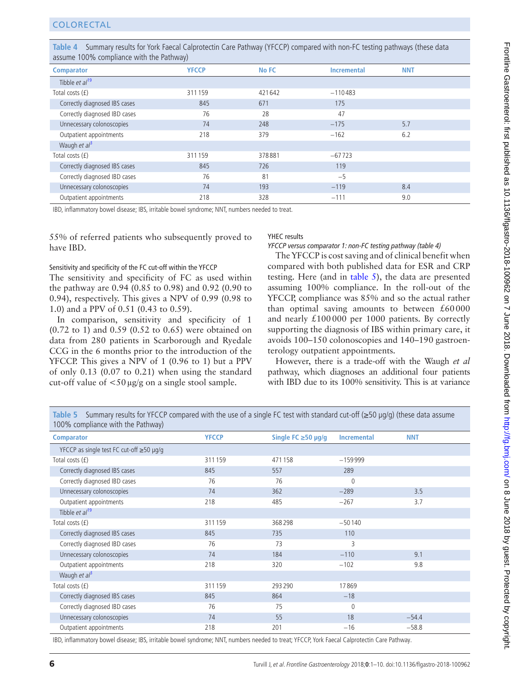| assume TOO /0 compliance with the Fathway/ |              |              |                    |            |  |
|--------------------------------------------|--------------|--------------|--------------------|------------|--|
| <b>Comparator</b>                          | <b>YFCCP</b> | <b>No FC</b> | <b>Incremental</b> | <b>NNT</b> |  |
| Tibble et $a^{19}$                         |              |              |                    |            |  |
| Total costs $(f)$                          | 311159       | 421642       | $-110483$          |            |  |
| Correctly diagnosed IBS cases              | 845          | 671          | 175                |            |  |
| Correctly diagnosed IBD cases              | 76           | 28           | 47                 |            |  |
| Unnecessary colonoscopies                  | 74           | 248          | $-175$             | 5.7        |  |
| Outpatient appointments                    | 218          | 379          | $-162$             | 6.2        |  |
| Waugh et $a^3$                             |              |              |                    |            |  |
| Total costs (£)                            | 311159       | 378881       | $-67723$           |            |  |
| Correctly diagnosed IBS cases              | 845          | 726          | 119                |            |  |
| Correctly diagnosed IBD cases              | 76           | 81           | $-5$               |            |  |
| Unnecessary colonoscopies                  | 74           | 193          | $-119$             | 8.4        |  |
| Outpatient appointments                    | 218          | 328          | $-111$             | 9.0        |  |

<span id="page-5-0"></span>**Table 4** Summary results for York Faecal Calprotectin Care Pathway (YFCCP) compared with non-FC testing pathways (these data assume 100% compliance with the Pathway)

IBD, inflammatory bowel disease; IBS, irritable bowel syndrome; NNT, numbers needed to treat.

55% of referred patients who subsequently proved to have IBD.

#### Sensitivity and specificity of the FC cut-off within the YFCCP

The sensitivity and specificity of FC as used within the pathway are 0.94 (0.85 to 0.98) and 0.92 (0.90 to 0.94), respectively. This gives a NPV of 0.99 (0.98 to 1.0) and a PPV of 0.51 (0.43 to 0.59).

In comparison, sensitivity and specificity of 1 (0.72 to 1) and 0.59 (0.52 to 0.65) were obtained on data from 280 patients in Scarborough and Ryedale CCG in the 6 months prior to the introduction of the YFCCP. This gives a NPV of 1 (0.96 to 1) but a PPV of only 0.13 (0.07 to 0.21) when using the standard cut-off value of  $\langle 50 \mu g/g \rangle$  on a single stool sample.

YHEC results

# *YFCCP versus comparator 1: non-FC testing pathway ([table 4\)](#page-5-0)*

The YFCCP is cost saving and of clinical benefit when compared with both published data for ESR and CRP testing. Here (and in [table](#page-5-1) 5), the data are presented assuming 100% compliance. In the roll-out of the YFCCP, compliance was 85% and so the actual rather than optimal saving amounts to between  $£60000$ and nearly £100000 per 1000 patients. By correctly supporting the diagnosis of IBS within primary care, it avoids 100–150 colonoscopies and 140–190 gastroenterology outpatient appointments.

However, there is a trade-off with the Waugh *et al* pathway, which diagnoses an additional four patients with IBD due to its 100% sensitivity. This is at variance

<span id="page-5-1"></span>**Table 5** Summary results for YFCCP compared with the use of a single FC test with standard cut-off (≥50 µg/g) (these data assume 100% compliance with the Pathway)

| <b>Comparator</b>                        | <b>YFCCP</b> | Single FC $\geq$ 50 µg/g | <b>Incremental</b> | <b>NNT</b> |
|------------------------------------------|--------------|--------------------------|--------------------|------------|
| YFCCP as single test FC cut-off ≥50 µg/g |              |                          |                    |            |
| Total costs (£)                          | 311159       | 471158                   | $-159999$          |            |
| Correctly diagnosed IBS cases            | 845          | 557                      | 289                |            |
| Correctly diagnosed IBD cases            | 76           | 76                       | $\mathbf 0$        |            |
| Unnecessary colonoscopies                | 74           | 362                      | $-289$             | 3.5        |
| Outpatient appointments                  | 218          | 485                      | $-267$             | 3.7        |
| Tibble et $a^{19}$                       |              |                          |                    |            |
| Total costs (£)                          | 311159       | 368298                   | $-50140$           |            |
| Correctly diagnosed IBS cases            | 845          | 735                      | 110                |            |
| Correctly diagnosed IBD cases            | 76           | 73                       | 3                  |            |
| Unnecessary colonoscopies                | 74           | 184                      | $-110$             | 9.1        |
| Outpatient appointments                  | 218          | 320                      | $-102$             | 9.8        |
| Waugh et al <sup>3</sup>                 |              |                          |                    |            |
| Total costs (£)                          | 311159       | 293 290                  | 17869              |            |
| Correctly diagnosed IBS cases            | 845          | 864                      | $-18$              |            |
| Correctly diagnosed IBD cases            | 76           | 75                       | $\mathbf 0$        |            |
| Unnecessary colonoscopies                | 74           | 55                       | 18                 | $-54.4$    |
| Outpatient appointments                  | 218          | 201                      | $-16$              | $-58.8$    |

IBD, inflammatory bowel disease; IBS, irritable bowel syndrome; NNT, numbers needed to treat; YFCCP, York Faecal Calprotectin Care Pathway.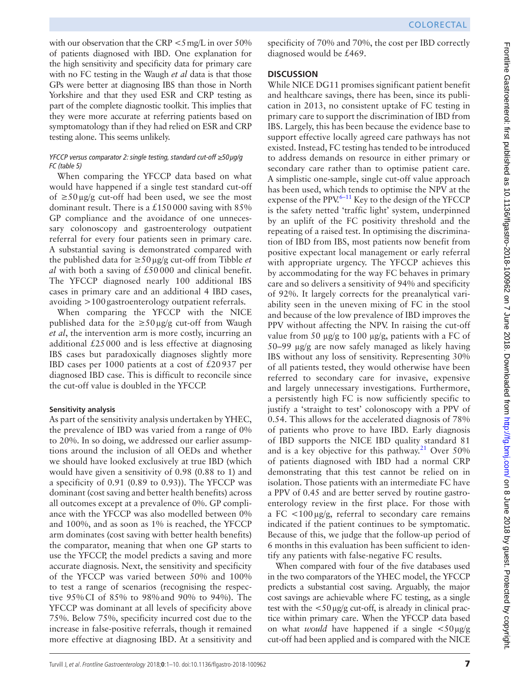with our observation that the CRP  $\lt$  5 mg/L in over 50% of patients diagnosed with IBD. One explanation for the high sensitivity and specificity data for primary care with no FC testing in the Waugh *et al* data is that those GPs were better at diagnosing IBS than those in North Yorkshire and that they used ESR and CRP testing as part of the complete diagnostic toolkit. This implies that they were more accurate at referring patients based on symptomatology than if they had relied on ESR and CRP testing alone. This seems unlikely.

## *YFCCP versus comparator 2: single testing, standard cut-off ≥50 µg/g FC [\(table 5](#page-5-1))*

When comparing the YFCCP data based on what would have happened if a single test standard cut-off of  $≥50 \mu g/g$  cut-off had been used, we see the most dominant result. There is a  $£150000$  saving with 85% GP compliance and the avoidance of one unnecessary colonoscopy and gastroenterology outpatient referral for every four patients seen in primary care. A substantial saving is demonstrated compared with the published data for ≥50µg/g cut-off from Tibble *et al* with both a saving of £50000 and clinical benefit. The YFCCP diagnosed nearly 100 additional IBS cases in primary care and an additional 4 IBD cases, avoiding >100gastroenterology outpatient referrals.

When comparing the YFCCP with the NICE published data for the  $\geq 50 \mu g/g$  cut-off from Waugh *et al*, the intervention arm is more costly, incurring an additional  $£25000$  and is less effective at diagnosing IBS cases but paradoxically diagnoses slightly more IBD cases per 1000 patients at a cost of £20937 per diagnosed IBD case. This is difficult to reconcile since the cut-off value is doubled in the YFCCP.

# **Sensitivity analysis**

As part of the sensitivity analysis undertaken by YHEC, the prevalence of IBD was varied from a range of 0% to 20%. In so doing, we addressed our earlier assumptions around the inclusion of all OEDs and whether we should have looked exclusively at true IBD (which would have given a sensitivity of 0.98 (0.88 to 1) and a specificity of 0.91 (0.89 to 0.93)). The YFCCP was dominant (cost saving and better health benefits) across all outcomes except at a prevalence of 0%. GP compliance with the YFCCP was also modelled between 0% and 100%, and as soon as 1% is reached, the YFCCP arm dominates (cost saving with better health benefits) the comparator, meaning that when one GP starts to use the YFCCP, the model predicts a saving and more accurate diagnosis. Next, the sensitivity and specificity of the YFCCP was varied between 50% and 100% to test a range of scenarios (recognising the respective 95%CI of 85% to 98%and 90% to 94%). The YFCCP was dominant at all levels of specificity above 75%. Below 75%, specificity incurred cost due to the increase in false-positive referrals, though it remained more effective at diagnosing IBD. At a sensitivity and specificity of 70% and 70%, the cost per IBD correctly diagnosed would be £469.

# **Discussion**

While NICE DG11 promises significant patient benefit and healthcare savings, there has been, since its publication in 2013, no consistent uptake of FC testing in primary care to support the discrimination of IBD from IBS. Largely, this has been because the evidence base to support effective locally agreed care pathways has not existed. Instead, FC testing has tended to be introduced to address demands on resource in either primary or secondary care rather than to optimise patient care. A simplistic one-sample, single cut-off value approach has been used, which tends to optimise the NPV at the expense of the PPV $^{6-11}$  Key to the design of the YFCCP is the safety netted 'traffic light' system, underpinned by an uplift of the FC positivity threshold and the repeating of a raised test. In optimising the discrimination of IBD from IBS, most patients now benefit from positive expectant local management or early referral with appropriate urgency. The YFCCP achieves this by accommodating for the way FC behaves in primary care and so delivers a sensitivity of 94% and specificity of 92%. It largely corrects for the preanalytical variability seen in the uneven mixing of FC in the stool and because of the low prevalence of IBD improves the PPV without affecting the NPV. In raising the cut-off value from 50 µg/g to 100 µg/g, patients with a FC of 50–99 µg/g are now safely managed as likely having IBS without any loss of sensitivity. Representing 30% of all patients tested, they would otherwise have been referred to secondary care for invasive, expensive and largely unnecessary investigations. Furthermore, a persistently high FC is now sufficiently specific to justify a 'straight to test' colonoscopy with a PPV of 0.54. This allows for the accelerated diagnosis of 78% of patients who prove to have IBD. Early diagnosis of IBD supports the NICE IBD quality standard 81 and is a key objective for this pathway.<sup>21</sup> Over 50% of patients diagnosed with IBD had a normal CRP demonstrating that this test cannot be relied on in isolation. Those patients with an intermediate FC have a PPV of 0.45 and are better served by routine gastroenterology review in the first place. For those with a FC  $<$ 100 µg/g, referral to secondary care remains indicated if the patient continues to be symptomatic. Because of this, we judge that the follow-up period of 6 months in this evaluation has been sufficient to identify any patients with false-negative FC results.

When compared with four of the five databases used in the two comparators of the YHEC model, the YFCCP predicts a substantial cost saving. Arguably, the major cost savings are achievable where FC testing, as a single test with the  $\langle 50 \mu g/g \rangle$  cut-off, is already in clinical practice within primary care. When the YFCCP data based on what *would* have happened if a single  $\langle 50 \mu g/g \rangle$ cut-off had been applied and is compared with the NICE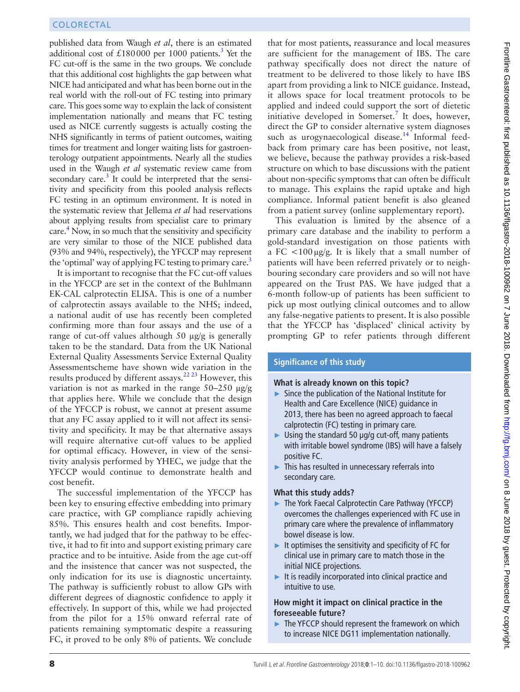published data from Waugh *et al*, there is an estimated additional cost of  $£180000$  per 1000 patients.<sup>[3](#page-8-2)</sup> Yet the FC cut-off is the same in the two groups. We conclude that this additional cost highlights the gap between what NICE had anticipated and what has been borne out in the real world with the roll-out of FC testing into primary care. This goes some way to explain the lack of consistent implementation nationally and means that FC testing used as NICE currently suggests is actually costing the NHS significantly in terms of patient outcomes, waiting times for treatment and longer waiting lists for gastroenterology outpatient appointments. Nearly all the studies used in the Waugh *et al* systematic review came from secondary care.<sup>3</sup> It could be interpreted that the sensitivity and specificity from this pooled analysis reflects FC testing in an optimum environment. It is noted in the systematic review that Jellema *et al* had reservations about applying results from specialist care to primary care.<sup>4</sup> Now, in so much that the sensitivity and specificity are very similar to those of the NICE published data (93% and 94%, respectively), the YFCCP may represent the 'optimal' way of applying FC testing to primary care.<sup>3</sup>

It is important to recognise that the FC cut-off values in the YFCCP are set in the context of the Buhlmann EK-CAL calprotectin ELISA. This is one of a number of calprotectin assays available to the NHS; indeed, a national audit of use has recently been completed confirming more than four assays and the use of a range of cut-off values although 50 µg/g is generally taken to be the standard. Data from the UK National External Quality Assessments Service External Quality Assessmentscheme have shown wide variation in the results produced by different assays.<sup>[22 23](#page-8-10)</sup> However, this variation is not as marked in the range  $50-250 \text{ µg/g}$ that applies here. While we conclude that the design of the YFCCP is robust, we cannot at present assume that any FC assay applied to it will not affect its sensitivity and specificity. It may be that alternative assays will require alternative cut-off values to be applied for optimal efficacy. However, in view of the sensitivity analysis performed by YHEC, we judge that the YFCCP would continue to demonstrate health and cost benefit.

The successful implementation of the YFCCP has been key to ensuring effective embedding into primary care practice, with GP compliance rapidly achieving 85%. This ensures health and cost benefits. Importantly, we had judged that for the pathway to be effective, it had to fit into and support existing primary care practice and to be intuitive. Aside from the age cut-off and the insistence that cancer was not suspected, the only indication for its use is diagnostic uncertainty. The pathway is sufficiently robust to allow GPs with different degrees of diagnostic confidence to apply it effectively. In support of this, while we had projected from the pilot for a 15% onward referral rate of patients remaining symptomatic despite a reassuring FC, it proved to be only 8% of patients. We conclude

that for most patients, reassurance and local measures are sufficient for the management of IBS. The care pathway specifically does not direct the nature of treatment to be delivered to those likely to have IBS apart from providing a link to NICE guidance. Instead, it allows space for local treatment protocols to be applied and indeed could support the sort of dietetic initiative developed in Somerset.<sup>[7](#page-8-11)</sup> It does, however, direct the GP to consider alternative system diagnoses such as urogynaecological disease.<sup>14</sup> Informal feedback from primary care has been positive, not least, we believe, because the pathway provides a risk-based structure on which to base discussions with the patient about non-specific symptoms that can often be difficult to manage. This explains the rapid uptake and high compliance. Informal patient benefit is also gleaned from a patient survey (online [supplementary report](https://dx.doi.org/10.1136/flgastro-2018-100962)).

This evaluation is limited by the absence of a primary care database and the inability to perform a gold-standard investigation on those patients with a FC  $<$ 100 µg/g. It is likely that a small number of patients will have been referred privately or to neighbouring secondary care providers and so will not have appeared on the Trust PAS. We have judged that a 6-month follow-up of patients has been sufficient to pick up most outlying clinical outcomes and to allow any false-negative patients to present. It is also possible that the YFCCP has 'displaced' clinical activity by prompting GP to refer patients through different

# **Significance of this study**

# **What is already known on this topic?**

- ► Since the publication of the National Institute for Health and Care Excellence (NICE) guidance in 2013, there has been no agreed approach to faecal calprotectin (FC) testing in primary care.
- $\blacktriangleright$  Using the standard 50 µg/g cut-off, many patients with irritable bowel syndrome (IBS) will have a falsely positive FC.
- ► This has resulted in unnecessary referrals into secondary care.

# **What this study adds?**

- ► The York Faecal Calprotectin Care Pathway (YFCCP) overcomes the challenges experienced with FC use in primary care where the prevalence of inflammatory bowel disease is low.
- $\blacktriangleright$  It optimises the sensitivity and specificity of FC for clinical use in primary care to match those in the initial NICE projections.
- $\blacktriangleright$  It is readily incorporated into clinical practice and intuitive to use.

# **How might it impact on clinical practice in the foreseeable future?**

► The YFCCP should represent the framework on which to increase NICE DG11 implementation nationally.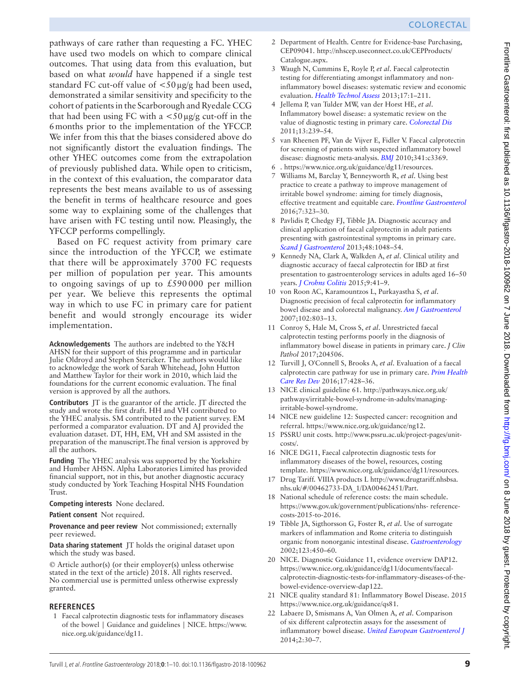pathways of care rather than requesting a FC. YHEC have used two models on which to compare clinical outcomes. That using data from this evaluation, but based on what *would* have happened if a single test standard FC cut-off value of  $\lt 50 \mu g/g$  had been used, demonstrated a similar sensitivity and specificity to the cohort of patients in the Scarborough and Ryedale CCG that had been using FC with a  $\lt 50 \mu g/g$  cut-off in the 6months prior to the implementation of the YFCCP. We infer from this that the biases considered above do not significantly distort the evaluation findings. The other YHEC outcomes come from the extrapolation of previously published data. While open to criticism, in the context of this evaluation, the comparator data represents the best means available to us of assessing the benefit in terms of healthcare resource and goes some way to explaining some of the challenges that have arisen with FC testing until now. Pleasingly, the YFCCP performs compellingly.

Based on FC request activity from primary care since the introduction of the YFCCP, we estimate that there will be approximately 3700 FC requests per million of population per year. This amounts to ongoing savings of up to  $£590000$  per million per year. We believe this represents the optimal way in which to use FC in primary care for patient benefit and would strongly encourage its wider implementation.

**Acknowledgements** The authors are indebted to the Y&H AHSN for their support of this programme and in particular Julie Oldroyd and Stephen Stericker. The authors would like to acknowledge the work of Sarah Whitehead, John Hutton and Matthew Taylor for their work in 2010, which laid the foundations for the current economic evaluation. The final version is approved by all the authors.

**Contributors** JT is the guarantor of the article. JT directed the study and wrote the first draft. HH and VH contributed to the YHEC analysis. SM contributed to the patient survey. EM performed a comparator evaluation. DT and AJ provided the evaluation dataset. DT, HH, EM, VH and SM assisted in the preparation of the manuscript.The final version is approved by all the authors.

**Funding** The YHEC analysis was supported by the Yorkshire and Humber AHSN. Alpha Laboratories Limited has provided financial support, not in this, but another diagnostic accuracy study conducted by York Teaching Hospital NHS Foundation Trust.

**Competing interests** None declared.

**Patient consent** Not required.

**Provenance and peer review** Not commissioned; externally peer reviewed.

**Data sharing statement** JT holds the original dataset upon which the study was based.

© Article author(s) (or their employer(s) unless otherwise stated in the text of the article) 2018. All rights reserved. No commercial use is permitted unless otherwise expressly granted.

# **References**

<span id="page-8-0"></span>1 Faecal calprotectin diagnostic tests for inflammatory diseases of the bowel | Guidance and guidelines | NICE. [https://www.](https://www.nice.org.uk/guidance/dg11) [nice.org.uk/guidance/dg11.](https://www.nice.org.uk/guidance/dg11)

- <span id="page-8-1"></span>2 Department of Health. Centre for Evidence-base Purchasing, CEP09041. [http://nhscep.useconnect.co.uk/CEPProducts/](http://nhscep.useconnect.co.uk/CEPProducts/Catalogue.aspx) [Catalogue.aspx.](http://nhscep.useconnect.co.uk/CEPProducts/Catalogue.aspx)
- <span id="page-8-2"></span>3 Waugh N, Cummins E, Royle P, *et al*. Faecal calprotectin testing for differentiating amongst inflammatory and noninflammatory bowel diseases: systematic review and economic evaluation. *[Health Technol Assess](http://dx.doi.org/10.3310/hta17550)* 2013;17:1–211.
- <span id="page-8-9"></span>4 Jellema P, van Tulder MW, van der Horst HE, *et al*. Inflammatory bowel disease: a systematic review on the value of diagnostic testing in primary care. *[Colorectal Dis](http://dx.doi.org/10.1111/j.1463-1318.2009.02131.x)* 2011;13:239–54.
- 5 van Rheenen PF, Van de Vijver E, Fidler V. Faecal calprotectin for screening of patients with suspected inflammatory bowel disease: diagnostic meta-analysis. *[BMJ](http://dx.doi.org/10.1136/bmj.c3369)* 2010;341:c3369.
- <span id="page-8-3"></span>6 . <https://www.nice.org.uk/guidance/dg11/resources>.
- <span id="page-8-11"></span>7 Williams M, Barclay Y, Benneyworth R, *et al*. Using best practice to create a pathway to improve management of irritable bowel syndrome: aiming for timely diagnosis, effective treatment and equitable care. *[Frontline Gastroenterol](http://dx.doi.org/10.1136/flgastro-2016-100727)* 2016;7:323–30.
- 8 Pavlidis P, Chedgy FJ, Tibble JA. Diagnostic accuracy and clinical application of faecal calprotectin in adult patients presenting with gastrointestinal symptoms in primary care. *[Scand J Gastroenterol](http://dx.doi.org/10.3109/00365521.2013.816771)* 2013;48:1048–54.
- 9 Kennedy NA, Clark A, Walkden A, *et al*. Clinical utility and diagnostic accuracy of faecal calprotectin for IBD at first presentation to gastroenterology services in adults aged 16–50 years. *[J Crohns Colitis](http://dx.doi.org/10.1016/j.crohns.2014.07.005)* 2015;9:41–9.
- 10 von Roon AC, Karamountzos L, Purkayastha S, *et al*. Diagnostic precision of fecal calprotectin for inflammatory bowel disease and colorectal malignancy. *[Am J Gastroenterol](http://dx.doi.org/10.1111/j.1572-0241.2007.01126.x)* 2007;102:803–13.
- 11 Conroy S, Hale M, Cross S, *et al*. Unrestricted faecal calprotectin testing performs poorly in the diagnosis of inflammatory bowel disease in patients in primary care. *J Clin Pathol* 2017;204506.
- <span id="page-8-4"></span>12 Turvill J, O'Connell S, Brooks A, *et al*. Evaluation of a faecal calprotectin care pathway for use in primary care. *[Prim Health](http://dx.doi.org/10.1017/S1463423616000049)  [Care Res Dev](http://dx.doi.org/10.1017/S1463423616000049)* 2016;17:428–36.
- <span id="page-8-5"></span>13 NICE clinical guideline 61. [http://pathways.nice.org.uk/](http://pathways.nice.org.uk/pathways/irritable-bowel-syndrome-in-adults/managing-irritable-bowel-syndrome) [pathways/irritable-bowel-syndrome-in-adults/managing](http://pathways.nice.org.uk/pathways/irritable-bowel-syndrome-in-adults/managing-irritable-bowel-syndrome)[irritable-bowel-syndrome.](http://pathways.nice.org.uk/pathways/irritable-bowel-syndrome-in-adults/managing-irritable-bowel-syndrome)
- <span id="page-8-12"></span>14 NICE new guideline 12: Suspected cancer: recognition and referral.<https://www.nice.org.uk/guidance/ng12>.
- <span id="page-8-6"></span>15 PSSRU unit costs. [http://www.pssru.ac.uk/project-pages/unit](http://www.pssru.ac.uk/project-pages/unit-costs/)[costs/.](http://www.pssru.ac.uk/project-pages/unit-costs/)
- 16 NICE DG11, Faecal calprotectin diagnostic tests for inflammatory diseases of the bowel, resources, costing template. [https://www.nice.org.uk/guidance/dg11/resources.](https://www.nice.org.uk/guidance/dg11/resources)
- 17 Drug Tariff. VIIIA products L [http://www.drugtariff.nhsbsa.](http://www.drugtariff.nhsbsa.nhs.uk/#/00462733-DA_1/DA00462451/Part) [nhs.uk/#/00462733-DA\\_1/DA00462451/Part](http://www.drugtariff.nhsbsa.nhs.uk/#/00462733-DA_1/DA00462451/Part).
- 18 National schedule of reference costs: the main schedule. [https://www.gov.uk/government/publications/nhs- reference](https://www.gov.uk/government/publications/nhs- reference-costs-2015-to-2016)[costs-2015-to-2016](https://www.gov.uk/government/publications/nhs- reference-costs-2015-to-2016).
- <span id="page-8-7"></span>19 Tibble JA, Sigthorsson G, Foster R, *et al*. Use of surrogate markers of inflammation and Rome criteria to distinguish organic from nonorganic intestinal disease. *[Gastroenterology](http://dx.doi.org/10.1053/gast.2002.34755)* 2002;123:450–60.
- 20 NICE. Diagnostic Guidance 11, evidence overview DAP12. [https://www.nice.org.uk/guidance/dg11/documents/faecal](https://www.nice.org.uk/guidance/dg11/documents/faecal-calprotectin-diagnostic-tests-for-inflammatory-diseases-of-the-bowel-evidence-overview-dap122)[calprotectin-diagnostic-tests-for-inflammatory-diseases-of-the](https://www.nice.org.uk/guidance/dg11/documents/faecal-calprotectin-diagnostic-tests-for-inflammatory-diseases-of-the-bowel-evidence-overview-dap122)[bowel-evidence-overview-dap122.](https://www.nice.org.uk/guidance/dg11/documents/faecal-calprotectin-diagnostic-tests-for-inflammatory-diseases-of-the-bowel-evidence-overview-dap122)
- <span id="page-8-8"></span>21 NICE quality standard 81: Inflammatory Bowel Disease. 2015 <https://www.nice.org.uk/guidance/qs81>.
- <span id="page-8-10"></span>22 Labaere D, Smismans A, Van Olmen A, *et al*. Comparison of six different calprotectin assays for the assessment of inflammatory bowel disease. *[United European Gastroenterol J](http://dx.doi.org/10.1177/2050640613518201)* 2014;2:30–7.